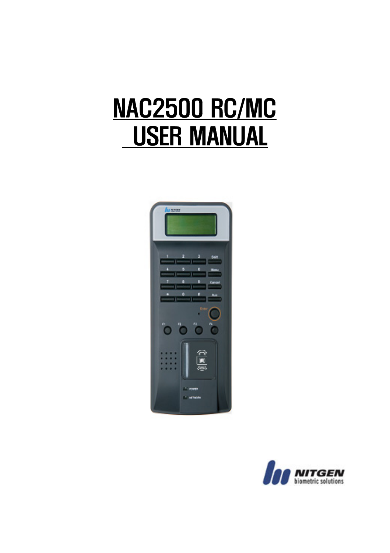# NAC2500 RC/MC USER MANUAL



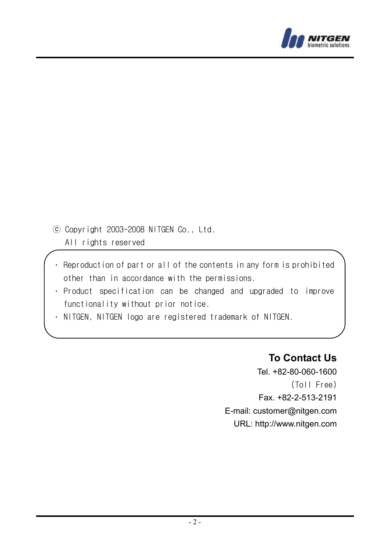

- ⓒ Copyright 2003-2008 NITGEN Co., Ltd. All rights reserved
- Reproduction of part or all of the contents in any form is prohibited other than in accordance with the permissions.
- Product specification can be changed and upgraded to improve functionality without prior notice.
- NITGEN, NITGEN logo are registered trademark of NITGEN.

#### **To Contact Us**

Tel. +82-80-060-1600 (Toll Free) Fax. +82-2-513-2191 E-mail: customer@nitgen.com URL: http://www.nitgen.com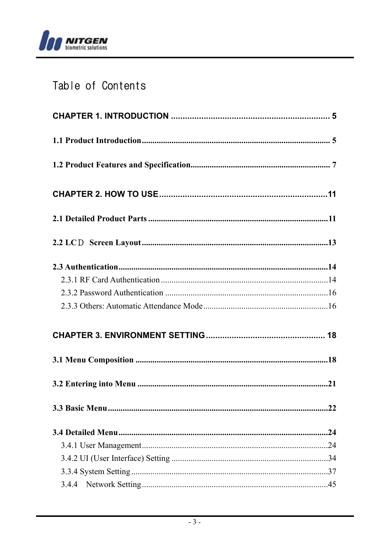

# Table of Contents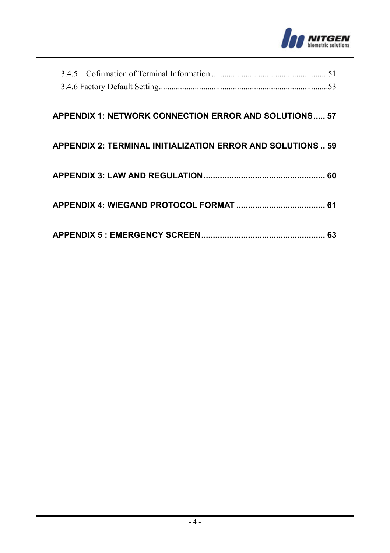

#### **APPENDIX 1: NETWORK CONNECTION ERROR AND SOLUTIONS..... 57**

#### **APPENDIX 2: TERMINAL INITIALIZATION ERROR AND SOLUTIONS .. 59**

# **APPENDIX 4: WIEGAND PROTOCOL FORMAT ...................................... 61**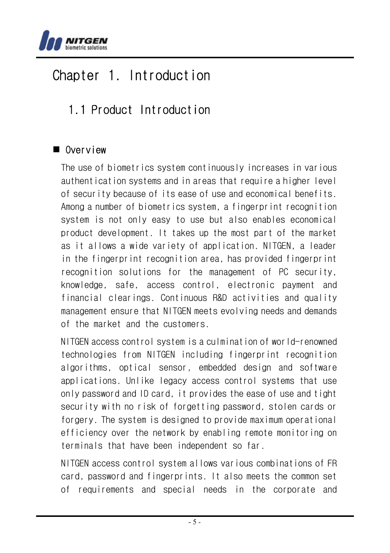

# Chapter 1. Introduction

# 1.1 Product Introduction

# Overview

The use of biometrics system continuously increases in various authentication systems and in areas that require a higher level of security because of its ease of use and economical benefits. Among a number of biometrics system, a fingerprint recognition system is not only easy to use but also enables economical product development. It takes up the most part of the market as it allows a wide variety of application. NITGEN, a leader in the fingerprint recognition area, has provided fingerprint recognition solutions for the management of PC security, knowledge, safe, access control, electronic payment and financial clearings. Continuous R&D activities and quality management ensure that NITGEN meets evolving needs and demands of the market and the customers.

NITGEN access control system is a culmination of world-renowned technologies from NITGEN including fingerprint recognition algorithms, optical sensor, embedded design and software applications. Unlike legacy access control systems that use only password and ID card, it provides the ease of use and tight security with no risk of forgetting password, stolen cards or forgery. The system is designed to provide maximum operational efficiency over the network by enabling remote monitoring on terminals that have been independent so far.

NITGEN access control system allows various combinations of FR card, password and fingerprints. It also meets the common set of requirements and special needs in the corporate and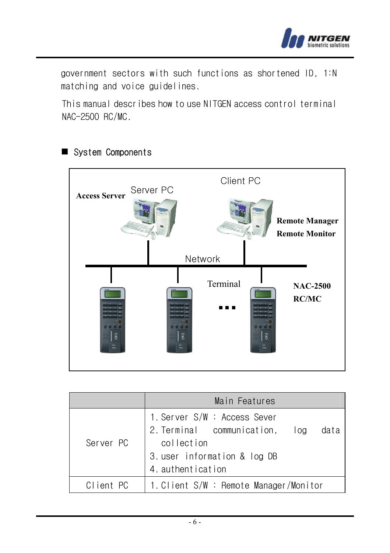

government sectors with such functions as shortened ID, 1:N matching and voice guidelines.

This manual describes how to use NITGEN access control terminal NAC-2500 RC/MC.



# System Components

|           | Main Features                                                                                                                                |
|-----------|----------------------------------------------------------------------------------------------------------------------------------------------|
| Server PC | 1. Server S/W : Access Sever<br>2. Terminal communication,<br>log<br>data<br>collection<br>3. user information & log DB<br>4. authentication |
| Client PC | 1. Client S/W : Remote Manager/Monitor                                                                                                       |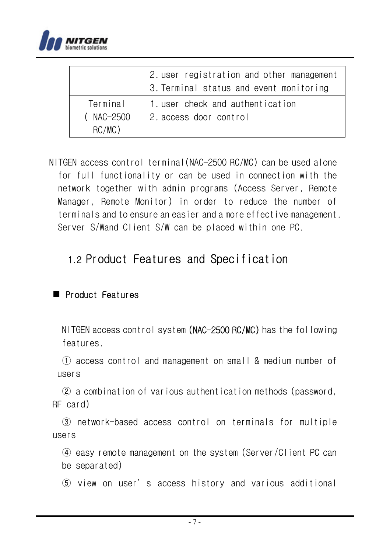

|                                    | 2. user registration and other management<br>3. Terminal status and event monitoring |
|------------------------------------|--------------------------------------------------------------------------------------|
| Terminal<br>(NAC-2500<br>$RC/MC$ ) | 1. user check and authentication<br>2. access door control                           |

 NITGEN access control terminal(NAC-2500 RC/MC) can be used alone for full functionality or can be used in connection with the network together with admin programs (Access Server, Remote Manager, Remote Monitor) in order to reduce the number of terminals and to ensure an easier and a more effective management. Server S/Wand Client S/W can be placed within one PC.

# 1.2 Product Features and Specification

### Product Features

NITGEN access control system (NAC-2500 RC/MC) has the following features.

① access control and management on small & medium number of users

② a combination of various authentication methods (password, RF card)

③ network-based access control on terminals for multiple users

④ easy remote management on the system (Server/Client PC can be separated)

⑤ view on user's access history and various additional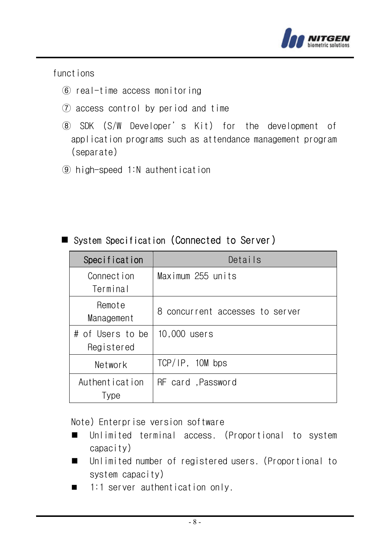

functions

- ⑥ real-time access monitoring
- ⑦ access control by period and time
- ⑧ SDK (S/W Developer's Kit) for the development of application programs such as attendance management program (separate)
- ⑨ high-speed 1:N authentication

| Specification                     | Details                         |
|-----------------------------------|---------------------------------|
| Connection<br>Terminal            | Maximum 255 units               |
| Remote<br>Management              | 8 concurrent accesses to server |
| #<br>of Users to be<br>Registered | 10,000 users                    |
| Network                           | TCP/IP, 10M bps                 |
| Authentication<br>Type            | RF card .Password               |

# System Specification (Connected to Server)

Note) Enterprise version software

- Unlimited terminal access. (Proportional to system capacity)
- Unlimited number of registered users. (Proportional to system capacity)
- $\blacksquare$  1:1 server authentication only.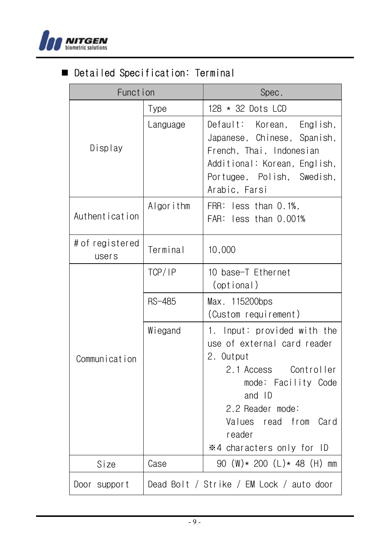

# Detailed Specification: Terminal

| Funct ion                |               | Spec.                                                                                                                                                                                                                 |
|--------------------------|---------------|-----------------------------------------------------------------------------------------------------------------------------------------------------------------------------------------------------------------------|
|                          | Type          | 128 * 32 Dots LCD                                                                                                                                                                                                     |
| Display                  | Language      | Default: Korean, English,<br>Japanese, Chinese, Spanish,<br>French, Thai, Indonesian<br>Additional: Korean, English,<br>Portugee, Polish, Swedish,<br>Arabic, Farsi                                                   |
| Authentication           | Algorithm     | less than 0.1%,<br>FRR:<br>FAR: less than 0.001%                                                                                                                                                                      |
| # of registered<br>users | Terminal      | 10,000                                                                                                                                                                                                                |
|                          | TCP/IP        | 10 base-T Ethernet<br>(optional)                                                                                                                                                                                      |
|                          | <b>RS-485</b> | Max. 115200bps<br>(Custom requirement)                                                                                                                                                                                |
| Communication            | Wiegand       | 1. Input: provided with the<br>use of external card reader<br>2. Output<br>2.1 Access Controller<br>mode: Facility Code<br>and ID<br>2.2 Reader mode:<br>Values read from Card<br>reader<br>※4 characters only for ID |
| Size                     | Case          | 90 (W)* 200 (L)* 48 (H) mm                                                                                                                                                                                            |
| Door support             |               | Dead Bolt / Strike / EM Lock / auto door                                                                                                                                                                              |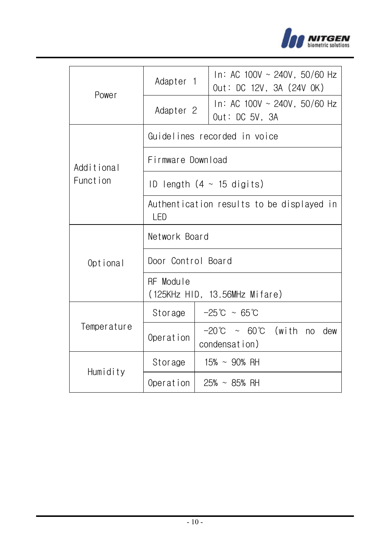

|             | Adapter 1                                         | In: AC 100V ~ 240V, 50/60 Hz<br>Out: DC 12V, 3A (24V OK) |  |
|-------------|---------------------------------------------------|----------------------------------------------------------|--|
| Power       | Adapter 2                                         | In: AC 100V $\sim$ 240V, 50/60 Hz<br>Out: DC 5V, 3A      |  |
|             |                                                   | Guidelines recorded in voice                             |  |
| Additional  | Firmware Download                                 |                                                          |  |
| Funct ion   | ID length $(4 \sim 15$ digits)                    |                                                          |  |
|             | Authentication results to be displayed in<br>I FD |                                                          |  |
|             | Network Board                                     |                                                          |  |
| Optional    | Door Control Board                                |                                                          |  |
|             | RF Module<br>(125KHz HID, 13.56MHz Mifare)        |                                                          |  |
|             | Storage                                           | $-25^{\circ}\text{C} \sim 65^{\circ}\text{C}$            |  |
| Temperature | Operation                                         | $-20^{\circ}$ C ~ 60°C (with no dew<br>condensation)     |  |
|             | Storage                                           | 15% ~ 90% RH                                             |  |
| Humidity    | Operation                                         | $25\% \sim 85\%$ RH                                      |  |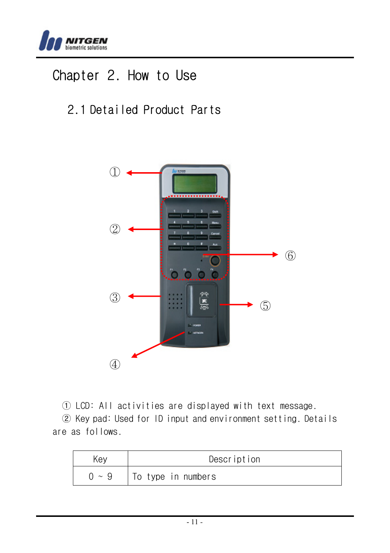

# Chapter 2. How to Use

# 2.1 Detailed Product Parts



① LCD: All activities are displayed with text message.

② Key pad: Used for ID input and environment setting. Details are as follows.

| Kev        | Description        |
|------------|--------------------|
| $0 \sim Q$ | To type in numbers |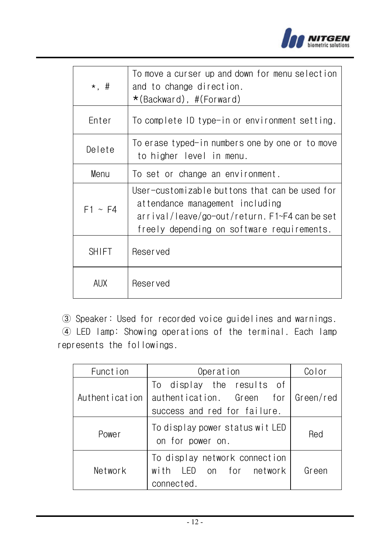

| $\star$ , #  | To move a curser up and down for menu selection<br>and to change direction.<br>$\star$ (Backward), #(Forward)                                                                    |
|--------------|----------------------------------------------------------------------------------------------------------------------------------------------------------------------------------|
| Enter        | To complete ID type-in or environment setting.                                                                                                                                   |
| Delete       | To erase typed-in numbers one by one or to move<br>to higher level in menu.                                                                                                      |
| Menu         | To set or change an environment.                                                                                                                                                 |
| $F1 \sim F4$ | User-customizable buttons that can be used for<br>attendance management including<br>arrival/leave/go-out/return. F1~F4 can be set<br>freely depending on software requirements. |
| <b>SHIFT</b> | <b>Reserved</b>                                                                                                                                                                  |
| AUX.         | <b>Reserved</b>                                                                                                                                                                  |

③ Speaker: Used for recorded voice guidelines and warnings.

④ LED lamp: Showing operations of the terminal. Each lamp represents the followings.

| Function       | Operation                                                                              | Color     |
|----------------|----------------------------------------------------------------------------------------|-----------|
| Authentication | To display the results of<br>authentication. Green for<br>success and red for failure. | Green/red |
| Power          | To display power status wit LED<br>on for power on.                                    | Red       |
| Network        | To display network connection<br>with LED on for network<br>connected.                 | Green     |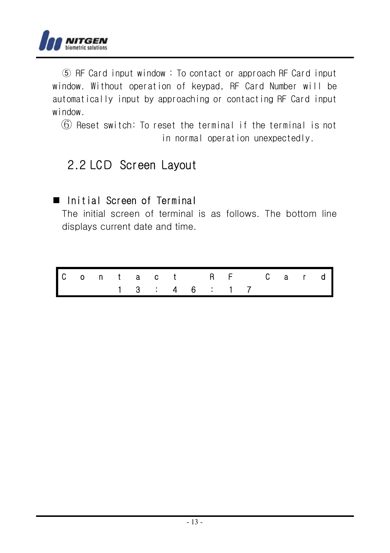

⑤ RF Card input window : To contact or approach RF Card input window. Without operation of keypad, RF Card Number will be automatically input by approaching or contacting RF Card input window.

⑥ Reset switch: To reset the terminal if the terminal is not in normal operation unexpectedly.

# 2.2 LCD Screen Layout

# Initial Screen of Terminal

The initial screen of terminal is as follows. The bottom line displays current date and time.

|  |  |  |                             |  | Contact RF Card |  |  |
|--|--|--|-----------------------------|--|-----------------|--|--|
|  |  |  | $1 \t3 \t3 \t4 \t6 \t1 \t7$ |  |                 |  |  |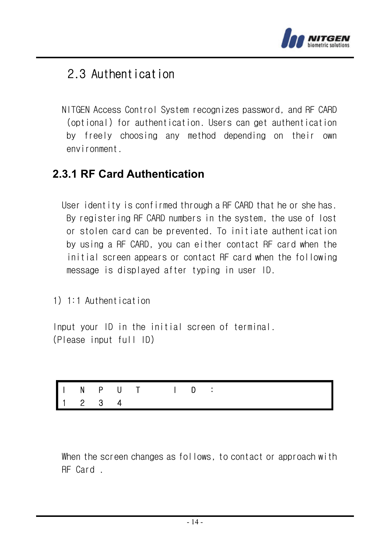

# 2.3 Authentication

NITGEN Access Control System recognizes password, and RF CARD (optional) for authentication. Users can get authentication by freely choosing any method depending on their own environment.

# **2.3.1 RF Card Authentication**

User identity is confirmed through a RF CARD that he or she has. By registering RF CARD numbers in the system, the use of lost or stolen card can be prevented. To initiate authentication by using a RF CARD, you can either contact RF card when the initial screen appears or contact RF card when the following message is displayed after typing in user ID.

1) 1:1 Authentication

Input your ID in the initial screen of terminal. (Please input full ID)

|  | 1 2 3 4 |  |  |  |  |  |
|--|---------|--|--|--|--|--|

When the screen changes as follows, to contact or approach with RF Card .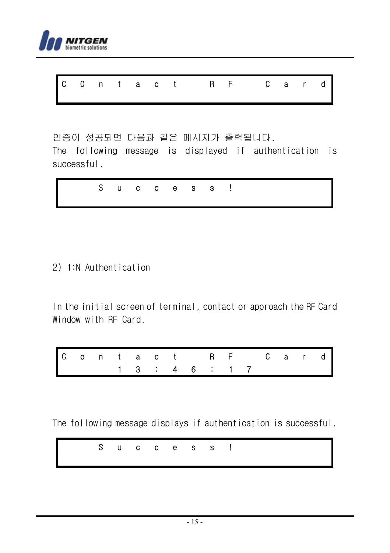

|  |  |  | COntact RF Card |  |  |  |
|--|--|--|-----------------|--|--|--|
|  |  |  |                 |  |  |  |

인증이 성공되면 다음과 같은 메시지가 출력됩니다.

The following message is displayed if authentication is successful.

|--|

#### 2) 1:N Authentication

In the initial screen of terminal, contact or approach the RF Card Window with RF Card.

|  |  |  |  |                 |  | Contact RF Card |  |  |
|--|--|--|--|-----------------|--|-----------------|--|--|
|  |  |  |  | 1 3 : 4 6 : 1 7 |  |                 |  |  |

The following message displays if authentication is successful.

|  |  |  | Success! |  |
|--|--|--|----------|--|
|  |  |  |          |  |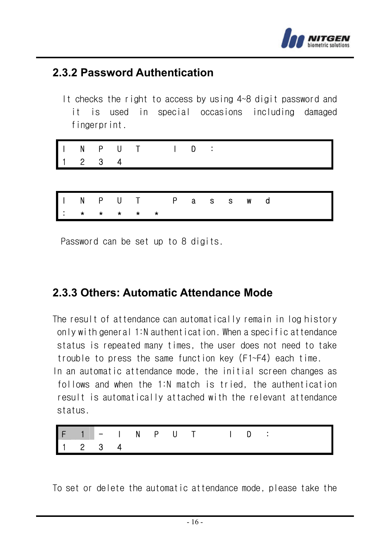

# **2.3.2 Password Authentication**

It checks the right to access by using 4~8 digit password and it is used in special occasions including damaged fingerprint.

| INPUT ID:<br>$\vert$ 1<br>2 3 4 |
|---------------------------------|
|---------------------------------|

|  | INPUT Passwd |  |  |  |  |  |  |
|--|--------------|--|--|--|--|--|--|
|  | <b>.</b>     |  |  |  |  |  |  |

Password can be set up to 8 digits.

# **2.3.3 Others: Automatic Attendance Mode**

The result of attendance can automatically remain in log history only with general 1:N authentication. When a specific attendance status is repeated many times, the user does not need to take trouble to press the same function key (F1~F4) each time.

In an automatic attendance mode, the initial screen changes as follows and when the 1:N match is tried, the authentication result is automatically attached with the relevant attendance status.



To set or delete the automatic attendance mode, please take the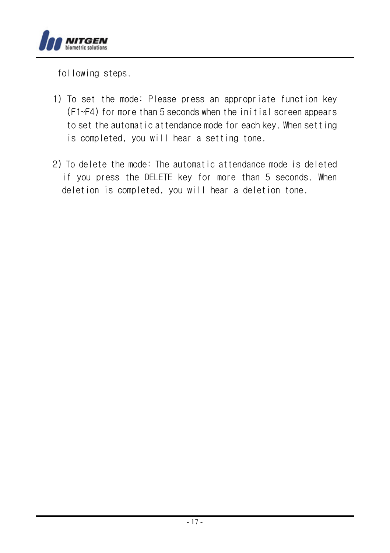

following steps.

- 1) To set the mode: Please press an appropriate function key (F1~F4) for more than 5 seconds when the initial screen appears to set the automatic attendance mode for each key. When setting is completed, you will hear a setting tone.
- 2) To delete the mode: The automatic attendance mode is deleted if you press the DELETE key for more than 5 seconds. When deletion is completed, you will hear a deletion tone.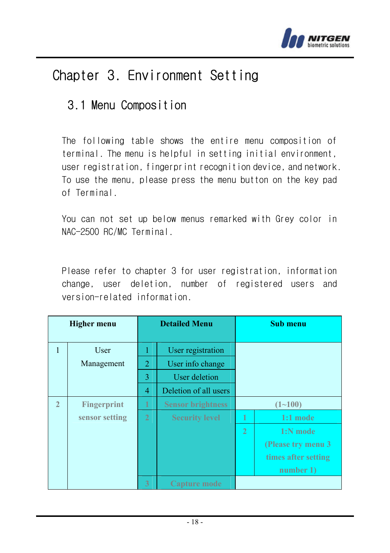

# Chapter 3. Environment Setting

# 3.1 Menu Composition

The following table shows the entire menu composition of terminal. The menu is helpful in setting initial environment, user registration, fingerprint recognition device, and network. To use the menu, please press the menu button on the key pad of Terminal.

You can not set up below menus remarked with Grey color in NAC-2500 RC/MC Terminal.

Please refer to chapter 3 for user registration, information change, user deletion, number of registered users and version-related information.

|                | <b>Higher menu</b> |                | <b>Detailed Menu</b>     |                | <b>Sub menu</b>     |
|----------------|--------------------|----------------|--------------------------|----------------|---------------------|
| $\mathbf{1}$   | User               |                | User registration        |                |                     |
|                | Management         | $\overline{2}$ | User info change         |                |                     |
|                |                    | 3              | User deletion            |                |                     |
|                |                    | $\overline{4}$ | Deletion of all users    |                |                     |
| $\overline{2}$ | <b>Fingerprint</b> | 1              | <b>Sensor brightness</b> |                | $(1 - 100)$         |
|                | sensor setting     | $\overline{2}$ | <b>Security level</b>    | 1              | $1:1$ mode          |
|                |                    |                |                          | $\overline{2}$ | $1:N$ mode          |
|                |                    |                |                          |                | (Please try menu 3  |
|                |                    |                |                          |                | times after setting |
|                |                    |                |                          |                | number 1)           |
|                |                    | 3              | Capture mode             |                |                     |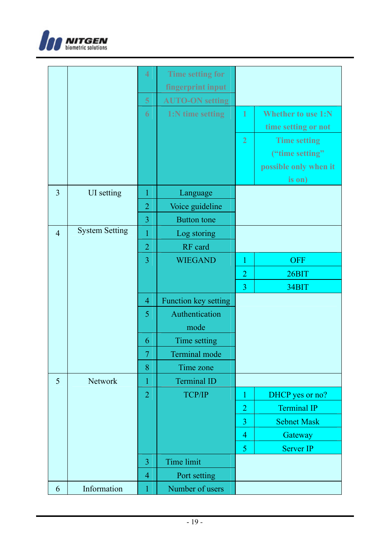

|                |                       | 4              | <b>Time setting for</b> |                |                       |
|----------------|-----------------------|----------------|-------------------------|----------------|-----------------------|
|                |                       |                | fingerprint input       |                |                       |
|                |                       | $\overline{5}$ | <b>AUTO-ON</b> setting  |                |                       |
|                |                       | $\overline{6}$ | 1:N time setting        | 1              | Whether to use 1:N    |
|                |                       |                |                         |                | time setting or not   |
|                |                       |                |                         | $\overline{2}$ | <b>Time setting</b>   |
|                |                       |                |                         |                | ("time setting")      |
|                |                       |                |                         |                | possible only when it |
|                |                       |                |                         |                | is on)                |
| $\overline{3}$ | UI setting            | $\mathbf{1}$   | Language                |                |                       |
|                |                       | $\overline{2}$ | Voice guideline         |                |                       |
|                |                       | $\overline{3}$ | <b>Button</b> tone      |                |                       |
| $\overline{4}$ | <b>System Setting</b> | $\mathbf{1}$   | Log storing             |                |                       |
|                |                       | $\overline{2}$ | RF card                 |                |                       |
|                |                       | 3              | <b>WIEGAND</b>          | 1              | <b>OFF</b>            |
|                |                       |                |                         | $\overline{c}$ | 26BIT                 |
|                |                       |                |                         | $\overline{3}$ | 34BIT                 |
|                |                       | $\overline{4}$ | Function key setting    |                |                       |
|                |                       | 5              | Authentication          |                |                       |
|                |                       |                | mode                    |                |                       |
|                |                       | 6              | Time setting            |                |                       |
|                |                       | $\overline{7}$ | Terminal mode           |                |                       |
|                |                       | 8              | Time zone               |                |                       |
| 5              | <b>Network</b>        | 1              | <b>Terminal ID</b>      |                |                       |
|                |                       | $\overline{2}$ | TCP/IP                  | 1              | DHCP yes or no?       |
|                |                       |                |                         | $\overline{2}$ | <b>Terminal IP</b>    |
|                |                       |                |                         | 3              | <b>Sebnet Mask</b>    |
|                |                       |                |                         | $\overline{4}$ | Gateway               |
|                |                       |                |                         | 5              | Server IP             |
|                |                       | $\overline{3}$ | Time limit              |                |                       |
|                |                       | $\overline{4}$ | Port setting            |                |                       |
| 6              | Information           | $\mathbf{1}$   | Number of users         |                |                       |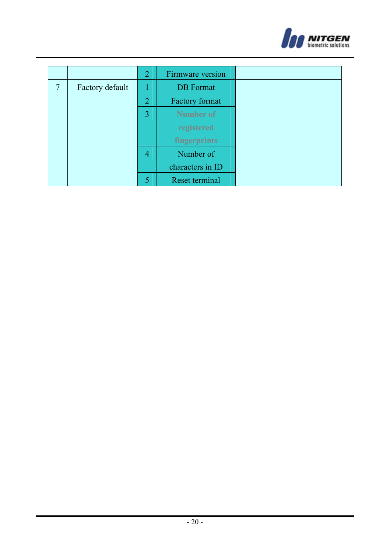

|   |                 | 2 | Firmware version |
|---|-----------------|---|------------------|
| 7 | Factory default |   | <b>DB</b> Format |
|   |                 | 2 | Factory format   |
|   |                 | 3 | Number of        |
|   |                 |   | registered       |
|   |                 |   | fingerprints     |
|   |                 | 4 | Number of        |
|   |                 |   | characters in ID |
|   |                 |   | Reset terminal   |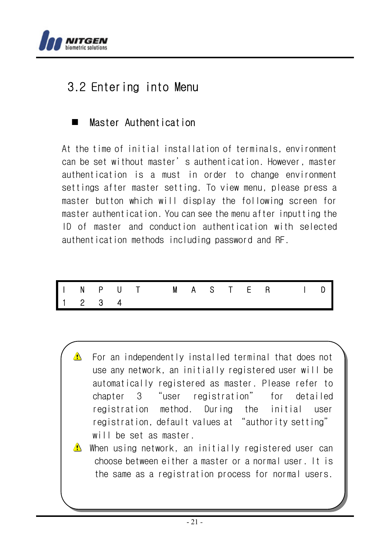

# 3.2 Entering into Menu

# **Master Authentication**

At the time of initial installation of terminals, environment can be set without master's authentication. However, master authentication is a must in order to change environment settings after master setting. To view menu, please press a master button which will display the following screen for master authentication. You can see the menu after inputting the ID of master and conduction authentication with selected authentication methods including password and RF.

|  |  | I N P U T M A S T E R I D<br>1 2 3 4 |  |  |  |  |  |
|--|--|--------------------------------------|--|--|--|--|--|
|  |  |                                      |  |  |  |  |  |

 For an independently installed terminal that does not use any network, an initially registered user will be automatically registered as master. Please refer to chapter 3 "user registration" for detailed registration method. During the initial user registration, default values at "authority setting" will be set as master.

 $\triangle$  When using network, an initially registered user can choose between either a master or a normal user. It is the same as a registration process for normal users.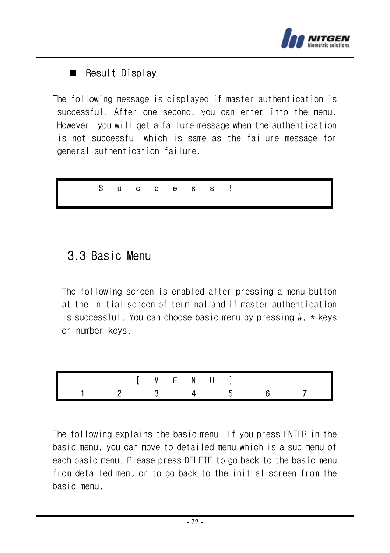

# Result Display

The following message is displayed if master authentication is successful. After one second, you can enter into the menu. However, you will get a failure message when the authentication is not successful which is same as the failure message for general authentication failure.



# 3.3 Basic Menu

The following screen is enabled after pressing a menu button at the initial screen of terminal and if master authentication is successful. You can choose basic menu by pressing #, \* keys or number keys.



The following explains the basic menu. If you press ENTER in the basic menu, you can move to detailed menu which is a sub menu of each basic menu. Please press DELETE to go back to the basic menu from detailed menu or to go back to the initial screen from the basic menu.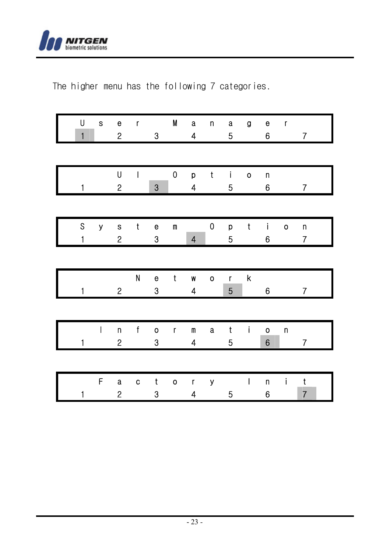

The higher menu has the following 7 categories.

| U<br>$\mathbf{1}$ | S            | $\mathbf{e}% _{t}\left( t\right)$<br>$\overline{2}$ | $\mathbf{r}$ | $\bf 3$                           | M                  | $\mathbf a$<br>$\overline{\mathbf{4}}$  | n            | $\bf a$<br>5              | g            | $\mathbf{e}% _{t}\left( t\right)$<br>6 | $\mathsf{r}$ | $\overline{7}$                |
|-------------------|--------------|-----------------------------------------------------|--------------|-----------------------------------|--------------------|-----------------------------------------|--------------|---------------------------|--------------|----------------------------------------|--------------|-------------------------------|
|                   |              | U                                                   | $\mathsf{I}$ |                                   | 0                  | p                                       | t            | $\mathbf{i}$              | 0            | n                                      |              |                               |
| 1                 |              | $\overline{c}$                                      |              | $\ensuremath{\mathsf{3}}$         |                    | $\overline{\mathbf{4}}$                 |              | 5                         |              | 6                                      |              | $\overline{7}$                |
| S<br>$\mathbf{1}$ | y -          | $\overline{c}$                                      | s t          | $\mathbf{e}$<br>3                 | $\pmb{\mathsf{m}}$ | $\overline{\mathbf{4}}$                 | 0            | p<br>5                    | $-t$         | $\mathbf{I}$<br>6                      | 0            | n<br>$\overline{7}$           |
|                   |              |                                                     | N            | $\mathbf{e}% _{t}\left( t\right)$ | $\mathbf t$        | W                                       | $\mathbf{o}$ | $\mathbf{r}$              | $-$ k $-$    |                                        |              |                               |
| $\mathbf{1}$      |              | $\overline{2}$                                      |              | $\bf 3$                           |                    | $\overline{\mathbf{4}}$                 |              | 5                         |              | 6                                      |              | $\overline{7}$                |
| 1                 | $\mathsf{I}$ | $\boldsymbol{\mathsf{n}}$<br>$\overline{c}$         | $-f$         | $\mathbf{o}$<br>$\bf 3$           | $\mathsf{r}$       | $\mathsf m$<br>$\overline{\mathbf{4}}$  | a            | $\mathbf t$<br>$\sqrt{5}$ | $\mathbf{I}$ | $\mathbf 0$<br>$6\phantom{a}$          | $\sf n$      | $\overline{7}$                |
|                   |              |                                                     |              |                                   |                    |                                         |              |                           |              |                                        |              |                               |
| 1                 | F            | $\mathbf a$<br>$\overline{c}$                       | C            | $\mathsf t$<br>3                  | $\mathbf{o}$       | $\mathbf{r}$<br>$\overline{\mathbf{4}}$ | У            | 5                         | $\mathbf{L}$ | n<br>6                                 | İ            | $\mathbf t$<br>$\overline{7}$ |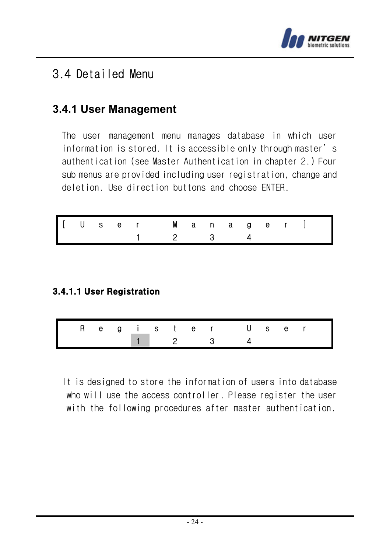

# 3.4 Detailed Menu

# **3.4.1 User Management**

The user management menu manages database in which user information is stored. It is accessible only through master's authentication (see Master Authentication in chapter 2.) Four sub menus are provided including user registration, change and deletion. Use direction buttons and choose ENTER.

|  |  | [User Manager]] |  |  |  |  |
|--|--|-----------------|--|--|--|--|
|  |  | 1 2 3 4         |  |  |  |  |

### 3.4.1.1 User Registration

| Register User |  |  |  |               |  |  |  |
|---------------|--|--|--|---------------|--|--|--|
|               |  |  |  | $1 \t 2 \t 3$ |  |  |  |

It is designed to store the information of users into database who will use the access controller. Please register the user with the following procedures after master authentication.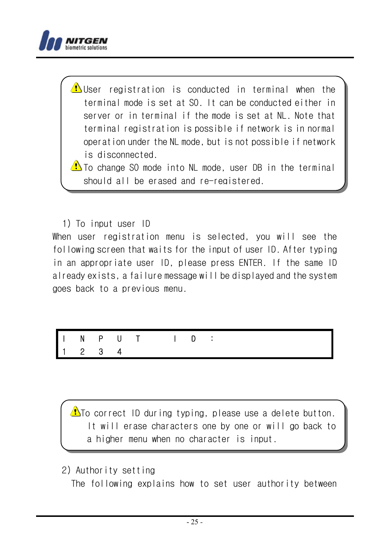

 $\bigoplus$ User registration is conducted in terminal when the terminal mode is set at SO. It can be conducted either in server or in terminal if the mode is set at NL. Note that terminal registration is possible if network is in normal operation under the NL mode, but is not possible if network is disconnected.

 $\bigcirc$  To change SO mode into NL mode, user DB in the terminal should all be erased and re-registered.

#### 1) To input user ID

When user registration menu is selected, you will see the following screen that waits for the input of user ID. After typing in an appropriate user ID, please press ENTER. If the same ID already exists, a failure message will be displayed and the system goes back to a previous menu.

| $\begin{array}{ccccccccc}\n1 & 2 & 3 & 4\n\end{array}$ |  |  |  |  |
|--------------------------------------------------------|--|--|--|--|

 $\bigoplus$ To correct ID during typing, please use a delete button. It will erase characters one by one or will go back to a higher menu when no character is input.

2) Authority setting

The following explains how to set user authority between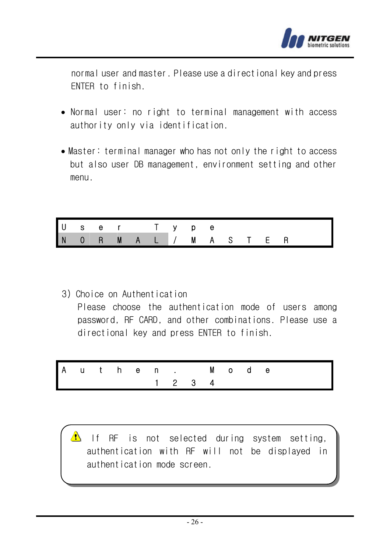

normal user and master. Please use a directional key and press ENTER to finish.

- Normal user: no right to terminal management with access authority only via identification.
- Master: terminal manager who has not only the right to access but also user DB management, environment setting and other menu.

| $\begin{array}{c}\nU \\ N\n\end{array}$ |    |         |                |  | е   |  |    |   |  |
|-----------------------------------------|----|---------|----------------|--|-----|--|----|---|--|
|                                         | -R | $M$ $A$ | $\blacksquare$ |  | M A |  | ь. | н |  |

3) Choice on Authentication Please choose the authentication mode of users among password, RF CARD, and other combinations. Please use a directional key and press ENTER to finish.

|  |  |  |                                                        | Authen. Mode |  |  |  |
|--|--|--|--------------------------------------------------------|--------------|--|--|--|
|  |  |  | $\begin{array}{ccccccccc}\n1 & 2 & 3 & 4\n\end{array}$ |              |  |  |  |

 $\triangle$  If RF is not selected during system setting, authentication with RF will not be displayed in authentication mode screen.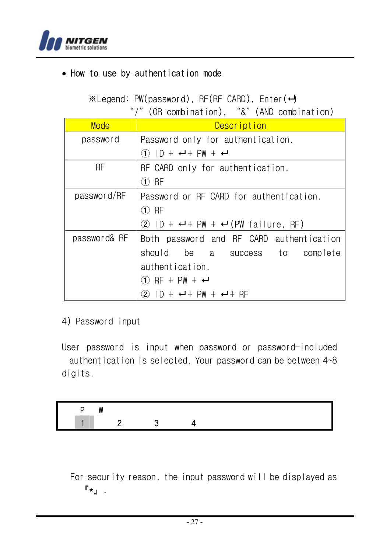

# • How to use by authentication mode

 $\mathscr{K}$ Legend: PW(password), RF(RF CARD), Enter( $\leftrightarrow$ 

"/"(OR combination), "&"(AND combination)

| Mode         | Description                                                        |
|--------------|--------------------------------------------------------------------|
| password     | Password only for authentication.                                  |
|              | $(1)$ $ D + \leftarrow + PW + \leftarrow$                          |
| <b>RF</b>    | RF CARD only for authentication.                                   |
|              | (T) RF                                                             |
| password/RF  | Password or RF CARD for authentication.                            |
|              | (T) RF                                                             |
|              | 2 ID + $\leftrightarrow$ + PW + $\leftrightarrow$ (PW failure, RF) |
| password& RF | Both password and RF CARD authentication                           |
|              | should be a success to complete                                    |
|              | authentication.                                                    |
|              | $(1)$ RF + PW + $\leftarrow$                                       |
|              | $(2)$ $1D + +$ $+$ $+$ $PW +$ $+$ $+$ $RF$                         |

4) Password input

User password is input when password or password-included authentication is selected. Your password can be between 4~8 digits.

For security reason, the input password will be displayed as  $\mathbb{F}_{\star}$ 』.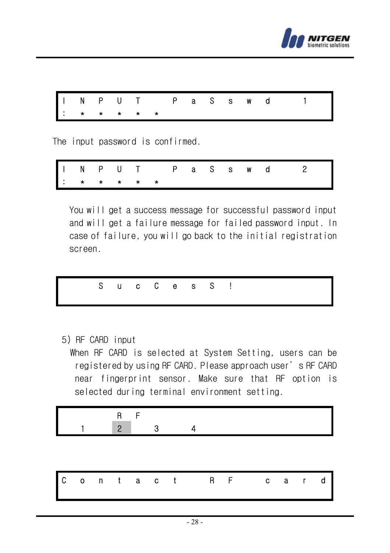

|  |          |  |  |  |  | INPUT PaSswd 1 |
|--|----------|--|--|--|--|----------------|
|  | <b>.</b> |  |  |  |  |                |

The input password is confirmed.

|  |  |          |  |  |  | INPUT PaSswd 2 |
|--|--|----------|--|--|--|----------------|
|  |  | <b>.</b> |  |  |  |                |

You will get a success message for successful password input and will get a failure message for failed password input. In case of failure, you will go back to the initial registration screen.

S u c C e s S !

5) RF CARD input

When RF CARD is selected at System Setting, users can be registered by using RF CARD. Please approach user's RF CARD near fingerprint sensor. Make sure that RF option is selected during terminal environment setting.

$$
\begin{array}{c|cc}\n & R & F \\
1 & 2 & 3 & 4\n\end{array}
$$

|  |  |  |  |  |  |  | Contact RF card |  |  |  |  |  |  |  |  |
|--|--|--|--|--|--|--|-----------------|--|--|--|--|--|--|--|--|
|--|--|--|--|--|--|--|-----------------|--|--|--|--|--|--|--|--|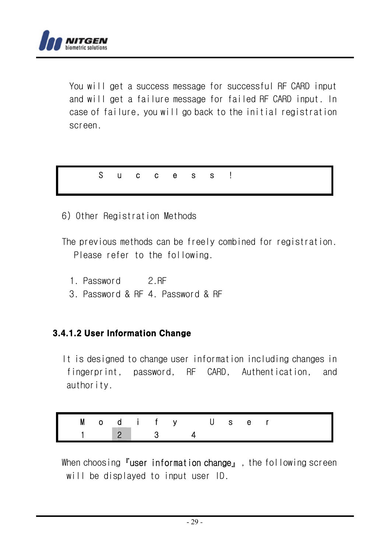

You will get a success message for successful RF CARD input and will get a failure message for failed RF CARD input. In case of failure, you will go back to the initial registration screen.

S u c c e s s !

6) Other Registration Methods

The previous methods can be freely combined for registration. Please refer to the following.

- 1. Password 2.RF
- 3. Password & RF 4. Password & RF

#### 3.4.1.2 User Information Change

It is designed to change user information including changes in fingerprint, password, RF CARD, Authentication, and authority.

| Modify User  |  |  |  |  |  |  |
|--------------|--|--|--|--|--|--|
| $\sqrt{2}$ 3 |  |  |  |  |  |  |

When choosing **『user information change』**, the following screen will be displayed to input user ID.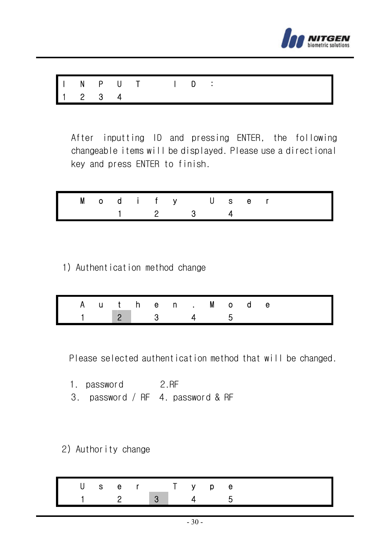

|  | $1 2 3 4$ |  |  |  |  |  |  |
|--|-----------|--|--|--|--|--|--|

After inputting ID and pressing ENTER, the following changeable items will be displayed. Please use a directional key and press ENTER to finish.

|  |  |  | Modify User                                     |  |  |  |  |
|--|--|--|-------------------------------------------------|--|--|--|--|
|  |  |  | $\begin{array}{cccc} 1 & 2 & 3 & 4 \end{array}$ |  |  |  |  |

1) Authentication method change

|  |  |  | Authen. Mode        |  |  |  |
|--|--|--|---------------------|--|--|--|
|  |  |  | $1 \t2 \t3 \t4 \t5$ |  |  |  |

Please selected authentication method that will be changed.

- 1. password 2.RF
- 3. password / RF 4. password & RF
- 2) Authority change

| User Typ |     |              |  |  |
|----------|-----|--------------|--|--|
|          | - 2 | $\mathbf{3}$ |  |  |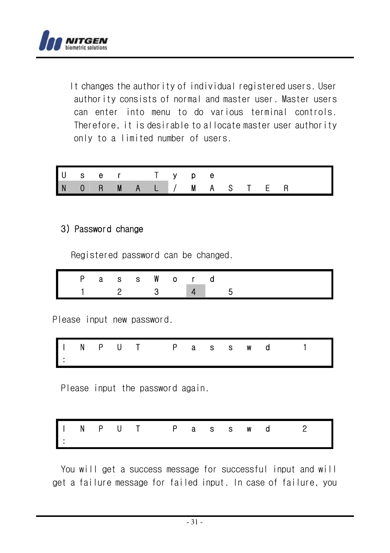

It changes the authority of individual registered users. User authority consists of normal and master user. Master users can enter into menu to do various terminal controls. Therefore, it is desirable to allocate master user authority only to a limited number of users.

|  |  |  | User Type     |  |  |  |
|--|--|--|---------------|--|--|--|
|  |  |  | NORMAL/MASTER |  |  |  |

#### 3) Password change

Registered password can be changed.

|  | Pass Word |  |  |         |  |
|--|-----------|--|--|---------|--|
|  |           |  |  | 2 3 4 5 |  |

Please input new password.

I N P U T P a s s w d 1 :

Please input the password again.

I N P U T P a s s w d 2 :

You will get a success message for successful input and will get a failure message for failed input. In case of failure, you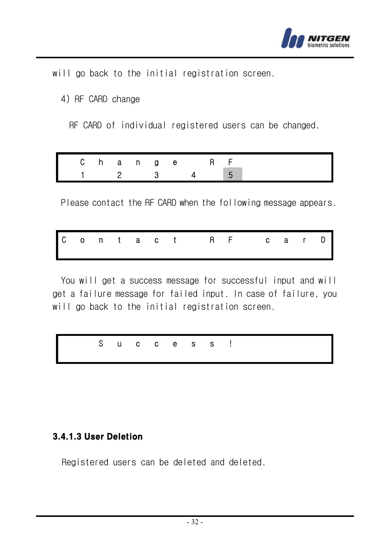

will go back to the initial registration screen.

4) RF CARD change

RF CARD of individual registered users can be changed.

|  | Change                        |  |              | - RF |  |
|--|-------------------------------|--|--------------|------|--|
|  | $\overline{2}$ $\overline{3}$ |  | $\mathbf{A}$ |      |  |

Please contact the RF CARD when the following message appears.

|  |  |  |  |  |  |  |  | Contact RF carD |  |  |  |  |  |  |  |
|--|--|--|--|--|--|--|--|-----------------|--|--|--|--|--|--|--|
|--|--|--|--|--|--|--|--|-----------------|--|--|--|--|--|--|--|

You will get a success message for successful input and will get a failure message for failed input. In case of failure, you will go back to the initial registration screen.

|  |  |  | Success! |  |
|--|--|--|----------|--|
|  |  |  |          |  |

#### 3.4.1.3 User Deletion

Registered users can be deleted and deleted.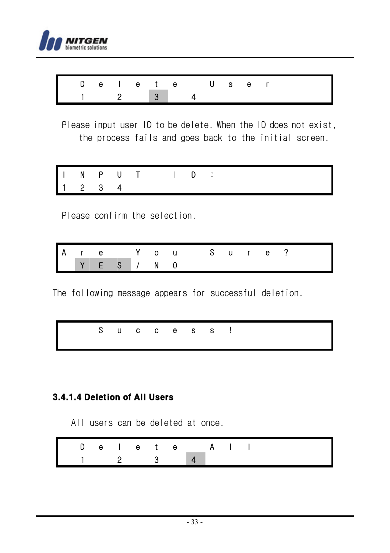

| Delete User     |  |  |  |  |  |  |  |
|-----------------|--|--|--|--|--|--|--|
| $1 \t2 \t3 \t4$ |  |  |  |  |  |  |  |

Please input user ID to be delete. When the ID does not exist, the process fails and goes back to the initial screen.

|  | 1 2 3 4 |  |  |  |  |  |  |
|--|---------|--|--|--|--|--|--|

Please confirm the selection.

|                                                                                                                             |  |  |  | Are You Sure? |  |  |  |  |
|-----------------------------------------------------------------------------------------------------------------------------|--|--|--|---------------|--|--|--|--|
| $\begin{array}{c c c c c c} \hline \textbf{Y} & \textbf{E} & \textbf{S} & \textbf{A} & \textbf{N} & \textbf{O} \end{array}$ |  |  |  |               |  |  |  |  |

The following message appears for successful deletion.

|--|

# 3.4.1.4 Deletion of All Users

All users can be deleted at once.

|                 |  |  | Delete All |  |  |  |
|-----------------|--|--|------------|--|--|--|
| $1 \t2 \t3 \t4$ |  |  |            |  |  |  |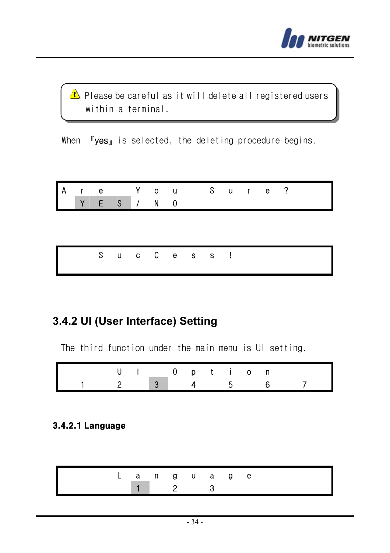

 $\triangle$  Please be careful as it will delete all registered users within a terminal.

When **『yes』** is selected, the deleting procedure begins.

|  |             |  | Are You Sure? |  |  |  |  |
|--|-------------|--|---------------|--|--|--|--|
|  | Y E S / N O |  |               |  |  |  |  |

|  |  |  | SucCess! |  |
|--|--|--|----------|--|
|  |  |  |          |  |

# **3.4.2 UI (User Interface) Setting**

The third function under the main menu is UI setting.

|                                                     |  | UI Option |  |  |  |  |
|-----------------------------------------------------|--|-----------|--|--|--|--|
| $1 \quad 2 \quad 3 \quad 4 \quad 5 \quad 6 \quad 7$ |  |           |  |  |  |  |

#### 3.4.2.1 Language

|  |  | anguage |  |  |  |
|--|--|---------|--|--|--|
|  |  |         |  |  |  |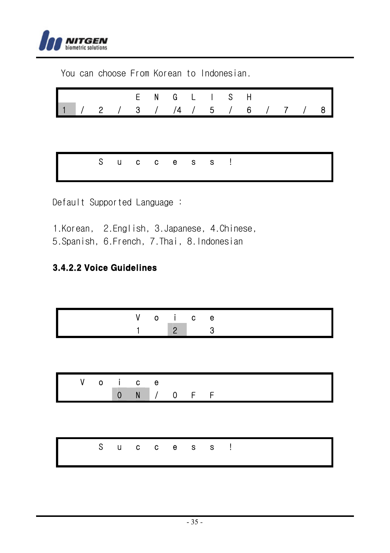

You can choose From Korean to Indonesian. E N G L I S H 1 / 2 / 3 / /4 / 5 / 6 / 7 / 8 S u c c e s s !

Default Supported Language :

- 1.Korean, 2.English, 3.Japanese, 4.Chinese,
- 5.Spanish, 6.French, 7.Thai, 8.Indonesian

### 3.4.2.2 Voice Guidelines

|  | ∠o i ce        |  |
|--|----------------|--|
|  | $\overline{2}$ |  |

| - റ | $\begin{array}{ccc} & & c & e \end{array}$ |  |  |  |  |
|-----|--------------------------------------------|--|--|--|--|
|     | N/OFF                                      |  |  |  |  |

| Success! |  |  |  |  |  |
|----------|--|--|--|--|--|
|          |  |  |  |  |  |
|          |  |  |  |  |  |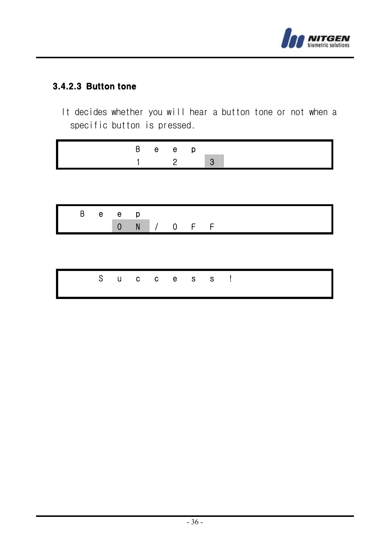

# 3.4.2.3 Button tone

It decides whether you will hear a button tone or not when a specific button is pressed.

| в | e e l |  |
|---|-------|--|
|   |       |  |

|  | Beep |             |  |  |  |  |
|--|------|-------------|--|--|--|--|
|  |      | 0 N / 0 F F |  |  |  |  |

|  |  |  | Success! |  |
|--|--|--|----------|--|
|  |  |  |          |  |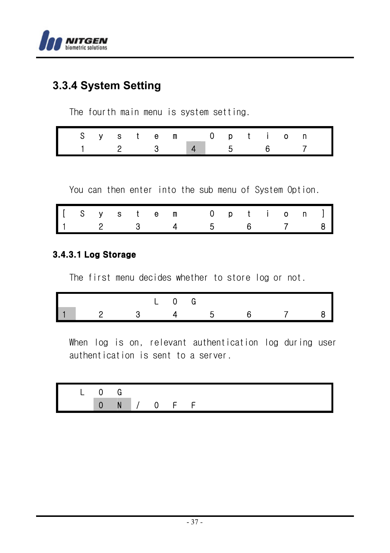

# **3.3.4 System Setting**

The fourth main menu is system setting.

| System Option                                       |  |  |  |  |  |  |  |
|-----------------------------------------------------|--|--|--|--|--|--|--|
| $1 \quad 2 \quad 3 \quad 4 \quad 5 \quad 6 \quad 7$ |  |  |  |  |  |  |  |

You can then enter into the sub menu of System Option.

|  |  |  | [ S y s t e m 0 p t i o n ]<br>1 2 3 4 5 6 7 8 |  |  |  |  |
|--|--|--|------------------------------------------------|--|--|--|--|
|  |  |  |                                                |  |  |  |  |

# 3.4.3.1 Log Storage

The first menu decides whether to store log or not.

|     |                |              | $\begin{bmatrix} 1 & 0 & 0 \end{bmatrix}$ |  |                 |  |
|-----|----------------|--------------|-------------------------------------------|--|-----------------|--|
| l 1 | $\blacksquare$ | $\mathbf{R}$ | $\boldsymbol{\Lambda}$                    |  | $\sim$ 7 $\sim$ |  |

When log is on, relevant authentication log during user authentication is sent to a server.

|  | N/OFF |  |  |  |  |  |
|--|-------|--|--|--|--|--|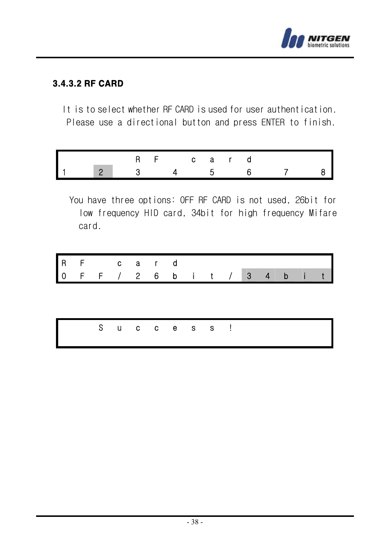

# 3.4.3.2 RF CARD

It is to select whether RF CARD is used for user authentication. Please use a directional button and press ENTER to finish.

|                |                                          | RF card |  |  |  |
|----------------|------------------------------------------|---------|--|--|--|
| $\blacksquare$ | $\begin{array}{ccc} & 2 & \end{array}$ 3 |         |  |  |  |

You have three options: OFF RF CARD is not used, 26bit for low frequency HID card, 34bit for high frequency Mifare card.

| $\mathsf{I}$ 0 | RF card |  |  |  |          |  | FF / 2 6 b i t / 3 4 b i |  |
|----------------|---------|--|--|--|----------|--|--------------------------|--|
|                |         |  |  |  |          |  |                          |  |
|                |         |  |  |  | Success! |  |                          |  |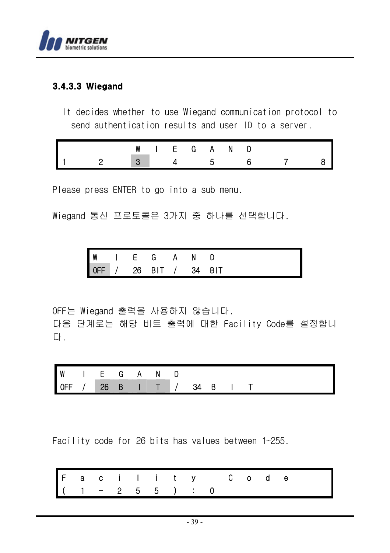

#### 3.4.3.3 Wiegand

It decides whether to use Wiegand communication protocol to send authentication results and user ID to a server.

|  | W |  | IFGA | N. |  |  |
|--|---|--|------|----|--|--|
|  |   |  |      |    |  |  |

Please press ENTER to go into a sub menu.

Wiegand 통신 프로토콜은 3가지 중 하나를 선택합니다.

| $\frac{W}{OFF}$ |    |            |     |            |
|-----------------|----|------------|-----|------------|
|                 | 26 | <b>BIT</b> | -34 | <b>RIT</b> |

OFF는 Wiegand 출력을 사용하지 않습니다. 다음 단계로는 해당 비트 출력에 대한 Facility Code를 설정합니 다.

| ΙW  | and the state of the state of the | G | А | N              |    |   |  |  |  |
|-----|-----------------------------------|---|---|----------------|----|---|--|--|--|
| OFF | $\frac{1}{26}$                    | B |   | $\blacksquare$ | 34 | B |  |  |  |

Facility code for 26 bits has values between 1~255.

|  |  |                    |  | Facility Code |  |  |  |
|--|--|--------------------|--|---------------|--|--|--|
|  |  | $(1 - 2 5 5 )$ : 0 |  |               |  |  |  |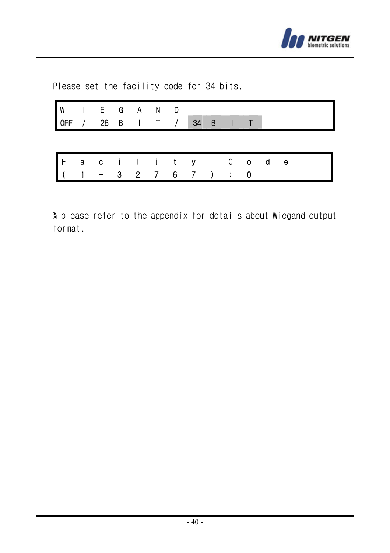

Please set the facility code for 34 bits.

| WIEGAND<br>OFF / 26 B I T / 34 B I |  |  |  |               |  |  |  |
|------------------------------------|--|--|--|---------------|--|--|--|
|                                    |  |  |  |               |  |  |  |
| $\mathsf{I}$ F                     |  |  |  | acility Code  |  |  |  |
| $(1 - 3)$                          |  |  |  | 2 7 6 7 ) : 0 |  |  |  |

% please refer to the appendix for details about Wiegand output format.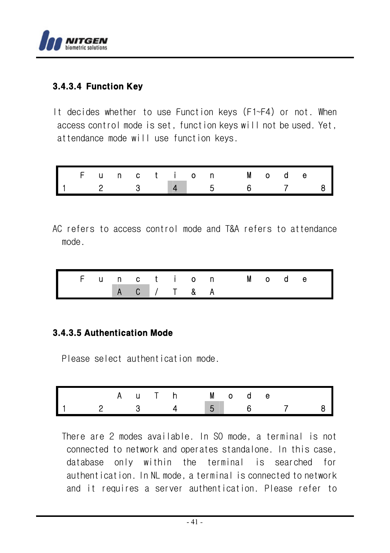

# 3.4.3.4 Function Key

It decides whether to use Function keys (F1~F4) or not. When access control mode is set, function keys will not be used. Yet, attendance mode will use function keys.

|  |  |  |  | Function Mode |  |  |                |
|--|--|--|--|---------------|--|--|----------------|
|  |  |  |  |               |  |  | 8 <sup>1</sup> |

AC refers to access control mode and T&A refers to attendance mode.

|  |  |             |  |  | Function Mode |  |  |  |
|--|--|-------------|--|--|---------------|--|--|--|
|  |  | A C / T & A |  |  |               |  |  |  |

#### 3.4.3.5 Authentication Mode

Please select authentication mode.

|  |              | A u T h M o d e |  |             |  |  |
|--|--------------|-----------------|--|-------------|--|--|
|  | $\mathbf{R}$ |                 |  | $5 \quad 6$ |  |  |

There are 2 modes available. In SO mode, a terminal is not connected to network and operates standalone. In this case, database only within the terminal is searched for authentication. In NL mode, a terminal is connected to network and it requires a server authentication. Please refer to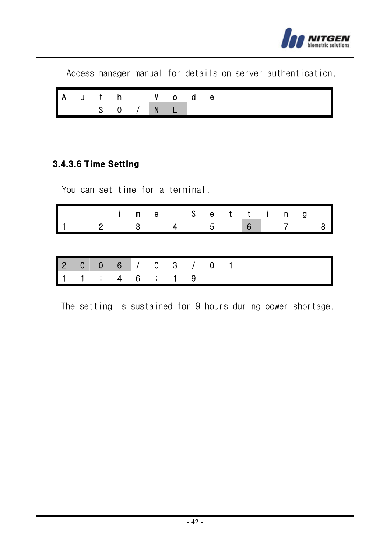

Access manager manual for details on server authentication. A u t h M o d e S 0 / N L

#### 3.4.3.6 Time Setting

You can set time for a terminal.

| Time Setting<br>1 2 3 4 5 6 7 8 |  |  |  |  |  |  |  |
|---------------------------------|--|--|--|--|--|--|--|
|                                 |  |  |  |  |  |  |  |

|  |                           |  | 2 0 0 6 / 0 3 / 0 1 |  |
|--|---------------------------|--|---------------------|--|
|  | $1 \t1 \t3 \t4 \t6 \t1 9$ |  |                     |  |

The setting is sustained for 9 hours during power shortage.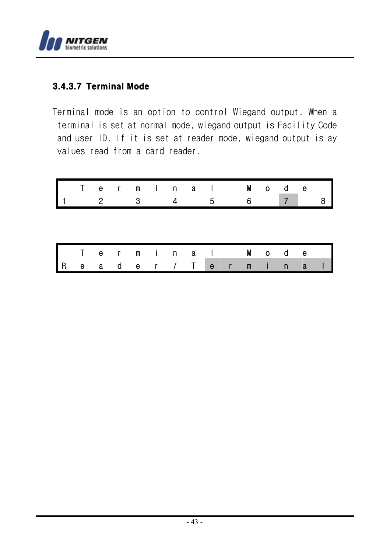

# 3.4.3.7 Terminal Mode

Terminal mode is an option to control Wiegand output. When a terminal is set at normal mode, wiegand output is Facility Code and user ID. If it is set at reader mode, wiegand output is ay values read from a card reader.

|     | T.          | $\overline{2}$ |     | - 3 | erminal  | -5  |              | 6.           |      | M o d e      |   |  |
|-----|-------------|----------------|-----|-----|----------|-----|--------------|--------------|------|--------------|---|--|
|     |             |                |     |     |          |     |              |              |      |              |   |  |
|     |             |                |     |     | Terminal |     |              |              |      | Mode         |   |  |
| l R | $\mathbf e$ | a,             | d d |     | er / T   | e e | $\mathsf{r}$ | $\mathbf{m}$ | -i - | $\mathsf{n}$ | a |  |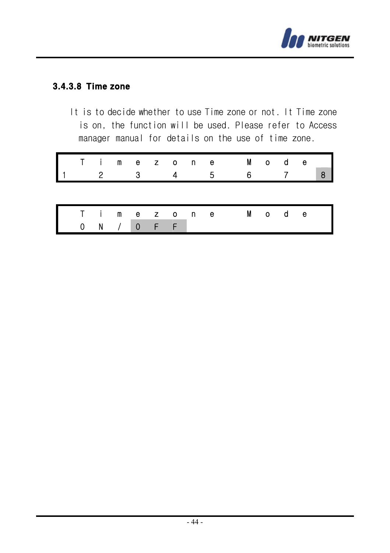

# 3.4.3.8 Time zone

It is to decide whether to use Time zone or not. It Time zone is on, the function will be used. Please refer to Access manager manual for details on the use of time zone.

|              |     | - 3 |   |  | -5        | Timezone Mode |  |         |  |
|--------------|-----|-----|---|--|-----------|---------------|--|---------|--|
|              |     |     |   |  |           |               |  |         |  |
|              |     |     |   |  | T imezone |               |  | M o d e |  |
| $\mathbf{0}$ | - N | - 0 | F |  |           |               |  |         |  |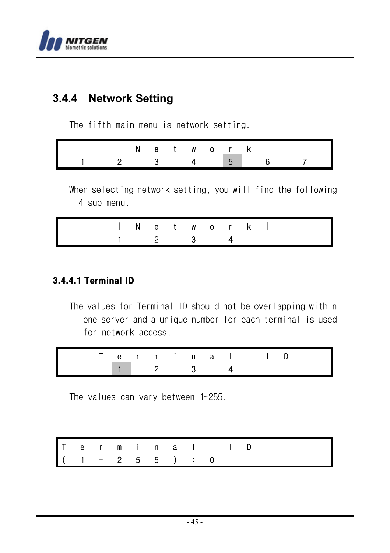

# **3.4.4 Network Setting**

The fifth main menu is network setting.

|  |            |  | etwork           |  |
|--|------------|--|------------------|--|
|  | <u>વ વ</u> |  | $\overline{4}$ 5 |  |

When selecting network setting, you will find the following 4 sub menu.

|  |                             |  |  | $[$ N e t w o r k $]$ |  |
|--|-----------------------------|--|--|-----------------------|--|
|  | $1 \quad 2 \quad 3 \quad 4$ |  |  |                       |  |

# 3.4.4.1 Terminal ID

The values for Terminal ID should not be overlapping within one server and a unique number for each terminal is used for network access.

|  | ermina. |  |  |  |  |  |
|--|---------|--|--|--|--|--|
|  | - 2     |  |  |  |  |  |

The values can vary between 1~255.

|  |  |                    |  | Terminal ID |  |  |
|--|--|--------------------|--|-------------|--|--|
|  |  | $(1 - 2 5 5 )$ : 0 |  |             |  |  |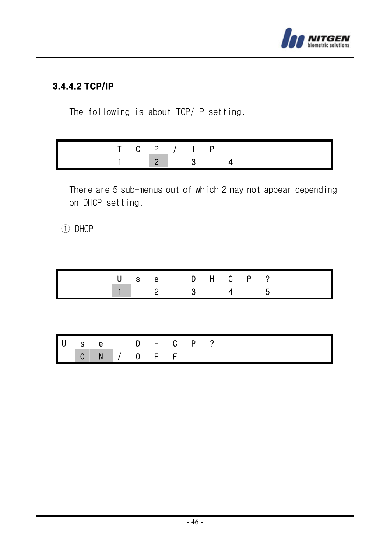

# 3.4.4.2 TCP/IP

The following is about TCP/IP setting.

|  | T C P / I P           |  |  |
|--|-----------------------|--|--|
|  | $\sqrt{2}$ $\sqrt{3}$ |  |  |

There are 5 sub-menus out of which 2 may not appear depending on DHCP setting.

① DHCP

|    |                |   | U | - S | 2     | 3                | e DHCP? |  | 5 |  |  |
|----|----------------|---|---|-----|-------|------------------|---------|--|---|--|--|
|    |                |   |   |     |       |                  |         |  |   |  |  |
|    |                |   |   |     |       |                  |         |  |   |  |  |
|    |                |   |   |     |       |                  |         |  |   |  |  |
| Iυ | $s$ e          |   |   |     |       | <b>D H C P ?</b> |         |  |   |  |  |
|    | $\overline{0}$ | N |   | - 0 | $F$ F |                  |         |  |   |  |  |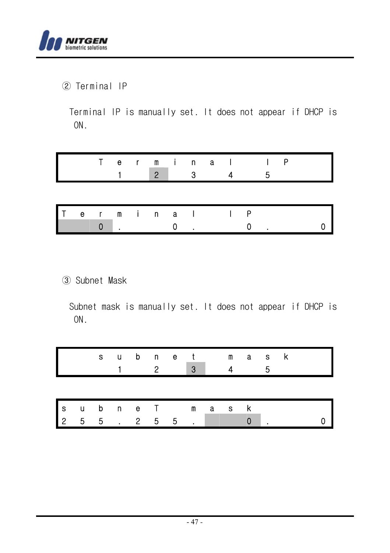

② Terminal IP

Terminal IP is manually set. It does not appear if DHCP is ON.

|  |  |  |  | erminall                            |  |
|--|--|--|--|-------------------------------------|--|
|  |  |  |  | $1 \quad 2 \quad 3 \quad 4 \quad 5$ |  |

|  |  |  |  | Terminal IP                                  |  |  |
|--|--|--|--|----------------------------------------------|--|--|
|  |  |  |  | $\begin{array}{ccc}\n0 & 0 & 0\n\end{array}$ |  |  |

③ Subnet Mask

Subnet mask is manually set. It does not appear if DHCP is ON.

|     |   |     |  |     |         | subnet mask<br>3 |       |  |  |
|-----|---|-----|--|-----|---------|------------------|-------|--|--|
|     |   |     |  |     |         |                  |       |  |  |
| l s |   |     |  |     | ubneT m |                  | a s k |  |  |
| l 2 | 5 | - 5 |  | 2 5 | - 5     |                  |       |  |  |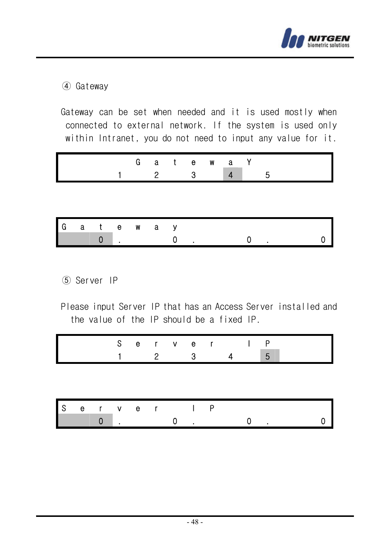

### ④ Gateway

Gateway can be set when needed and it is used mostly when connected to external network. If the system is used only within Intranet, you do not need to input any value for it.

|  |  |  | Gatewa <sup>\</sup> |                                                            |  |
|--|--|--|---------------------|------------------------------------------------------------|--|
|  |  |  |                     | $\begin{array}{ccccccccccccc}\n2 & 3 & 4 & 5\n\end{array}$ |  |

| l G |  | atewo <mark>n</mark> | a |  |  |  |  |
|-----|--|----------------------|---|--|--|--|--|
|     |  |                      |   |  |  |  |  |

- ⑤ Server IP
- Please input Server IP that has an Access Server installed and the value of the IP should be a fixed IP.

|     |   |              | S   | 2              | er ver | 3   |  | I. | Ρ<br>5 |  |
|-----|---|--------------|-----|----------------|--------|-----|--|----|--------|--|
|     |   |              |     |                |        |     |  |    |        |  |
|     |   |              |     |                |        |     |  |    |        |  |
| l s | e | $\mathsf{r}$ | v e | $\blacksquare$ |        | I P |  |    |        |  |
|     |   |              |     |                |        |     |  |    |        |  |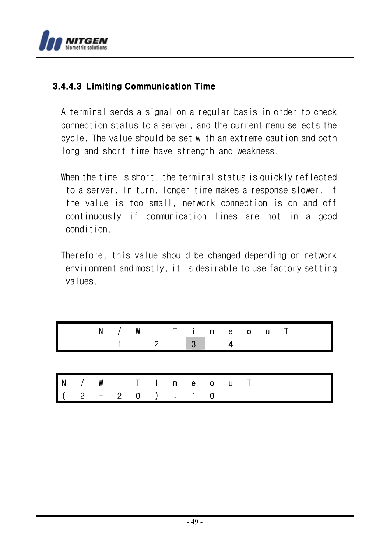

### 3.4.4.3 Limiting Communication Time

A terminal sends a signal on a regular basis in order to check connection status to a server, and the current menu selects the cycle. The value should be set with an extreme caution and both long and short time have strength and weakness.

- When the time is short, the terminal status is quickly reflected to a server. In turn, longer time makes a response slower. If the value is too small, network connection is on and off continuously if communication lines are not in a good condition.
- Therefore, this value should be changed depending on network environment and mostly, it is desirable to use factory setting values.

|  |  | 2 | N / W T imeouT<br>3 |  |  |  |
|--|--|---|---------------------|--|--|--|
|  |  |   |                     |  |  |  |
|  |  |   | N/W TImeouT         |  |  |  |
|  |  |   | $2 - 2 0$ ) : 1 0   |  |  |  |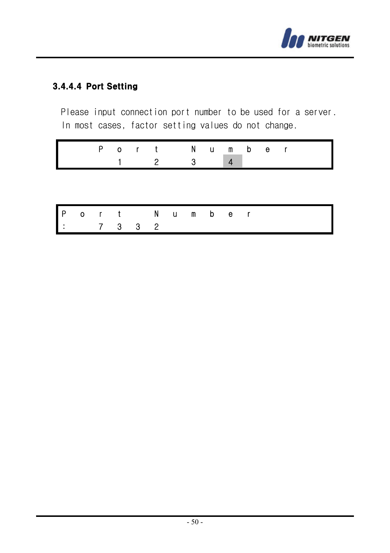

# 3.4.4.4 Port Setting

Please input connection port number to be used for a server. In most cases, factor setting values do not change.

|  |  | Port Number                 |  |  |  |
|--|--|-----------------------------|--|--|--|
|  |  | $1 \quad 2 \quad 3 \quad 4$ |  |  |  |

|  |                             | Port Number |  |  |  |  |
|--|-----------------------------|-------------|--|--|--|--|
|  | $\vert \cdot \vert$ 7 3 3 2 |             |  |  |  |  |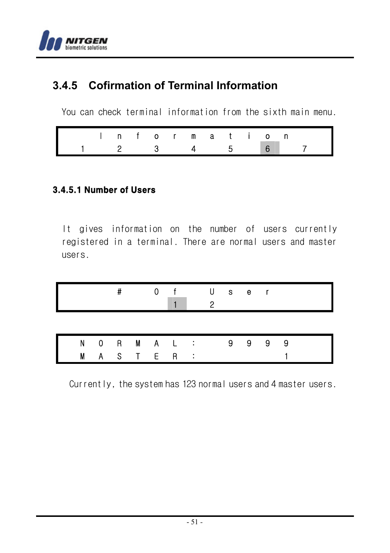

# **3.4.5 Cofirmation of Terminal Information**

You can check terminal information from the sixth main menu.

|  |  |  |  |  | Information |                             |  |
|--|--|--|--|--|-------------|-----------------------------|--|
|  |  |  |  |  |             | $1 \t2 \t3 \t4 \t5 \t6 \t7$ |  |

# 3.4.5.1 Number of Users

It gives information on the number of users currently registered in a terminal. There are normal users and master users.

|   |   | # |       | 0 | $\mathsf{f}$ |               | $\circ$ | U s e r |  |  |
|---|---|---|-------|---|--------------|---------------|---------|---------|--|--|
|   |   |   |       |   |              |               |         |         |  |  |
| N |   |   |       |   | 0 R M A L :  |               |         | 9 9 9 9 |  |  |
| M | A |   | ST ER |   |              | $\sim$ $\sim$ |         |         |  |  |

Currently, the system has 123 normal users and 4 master users.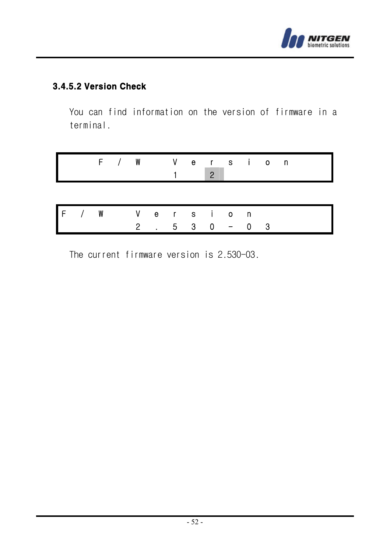

# 3.4.5.2 Version Check

You can find information on the version of firmware in a terminal.

|  |             |  |  |                    | F / W Version<br>$\overline{2}$ |        |  |
|--|-------------|--|--|--------------------|---------------------------------|--------|--|
|  |             |  |  |                    |                                 |        |  |
|  | F/W Version |  |  |                    |                                 |        |  |
|  |             |  |  | $2 \t 5 \t 3 \t 0$ |                                 | $-0$ 3 |  |

The current firmware version is 2.530-03.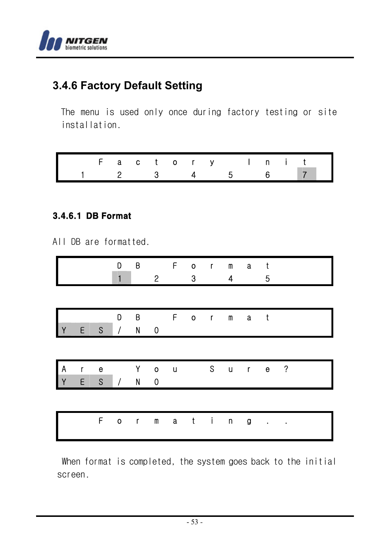

# **3.4.6 Factory Default Setting**

The menu is used only once during factory testing or site installation.

|                                                     | Factory Init |  |  |  |  |  |  |
|-----------------------------------------------------|--------------|--|--|--|--|--|--|
| $1 \quad 2 \quad 3 \quad 4 \quad 5 \quad 6 \quad 7$ |              |  |  |  |  |  |  |

#### 3.4.6.1 DB Format

All DB are formatted.

|               |        |                  | D<br>1         | Β            | $\overline{c}$                    | F           | o<br>3       | $\langle \mathbf{r} \rangle$ | m<br>4       | a           | t<br>5 |                          |
|---------------|--------|------------------|----------------|--------------|-----------------------------------|-------------|--------------|------------------------------|--------------|-------------|--------|--------------------------|
|               |        |                  |                |              |                                   |             |              |                              |              |             |        |                          |
|               |        |                  | D              | B            |                                   | F           | $0 \qquad r$ |                              | $\, {\bf m}$ | $\mathbf a$ | $-t$   |                          |
| l y           | E      | S                | $\prime$       | N            | $\mathbf 0$                       |             |              |                              |              |             |        |                          |
|               |        |                  |                |              |                                   |             |              |                              |              |             |        |                          |
| $\frac{A}{Y}$ | r<br>E | е<br>$\mathsf S$ | $\overline{1}$ | Υ<br>N       | $\pmb{\mathsf{O}}$<br>$\mathbf 0$ | $\mathbf u$ |              | S.                           | $\mathsf{u}$ | $r$ e       |        | $\overline{\phantom{a}}$ |
|               |        |                  |                |              |                                   |             |              |                              |              |             |        |                          |
|               |        |                  |                |              |                                   |             |              |                              |              |             |        |                          |
|               |        | F                | O              | $\mathbf{r}$ | m                                 | a           | $\mathbf{t}$ | $\mathbf{i}$                 | $\mathsf n$  | g           |        |                          |

When format is completed, the system goes back to the initial screen.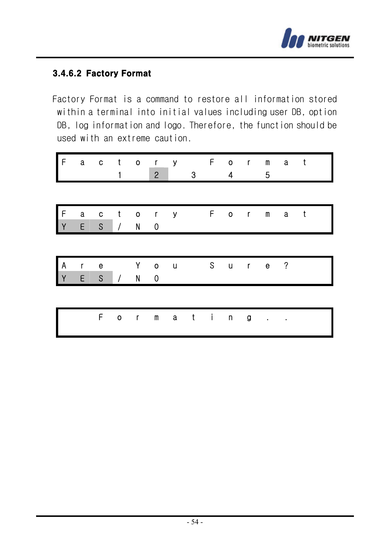

### 3.4.6.2 Factory Format

Factory Format is a command to restore all information stored within a terminal into initial values including user DB, option DB, log information and logo. Therefore, the function should be used with an extreme caution.

| I۴                |                   | a c t             |                                              | $\circ$                 | $\mathsf{r}$<br>$\overline{2}$ | $\mathbf{y}$ | 3 | F        | $\mathbf{o}$<br>$\overline{4}$ | $\mathbf{r}$ | m<br>5       | $\mathbf{a}$             | $-t$         |  |
|-------------------|-------------------|-------------------|----------------------------------------------|-------------------------|--------------------------------|--------------|---|----------|--------------------------------|--------------|--------------|--------------------------|--------------|--|
|                   |                   |                   |                                              |                         |                                |              |   |          |                                |              |              |                          |              |  |
| $\frac{F}{Y}$     | a<br>E            | c<br>$\mathsf{s}$ | $\mathbf{t}$<br>$\left\langle \right\rangle$ | $\circ$<br>$\mathsf{N}$ | $\mathbf{r}$<br>$\overline{0}$ | $\mathbf{y}$ |   |          | F o r                          |              | m            | $\mathbf{a}$             | $\mathbf{t}$ |  |
|                   |                   |                   |                                              |                         |                                |              |   |          |                                |              |              |                          |              |  |
| A<br>$\mathbf{V}$ | $\mathsf{r}$<br>E | е<br>$\mathsf{S}$ | 1                                            | Υ<br>N                  | $\mathbf{o}$<br>$\mathbf 0$    | $\mathsf{u}$ |   | $\sim$ S | $\sf u$                        | $\mathsf{r}$ | $\mathbf{e}$ | $\overline{\phantom{a}}$ |              |  |
|                   |                   |                   |                                              |                         |                                |              |   |          |                                |              |              |                          |              |  |
|                   |                   | F                 | $0 \qquad r$                                 |                         | $\pmb{\mathsf{m}}$             | $\mathbf a$  |   | $t$ i    | $\mathsf{n}$                   | g            | $\bullet$    |                          |              |  |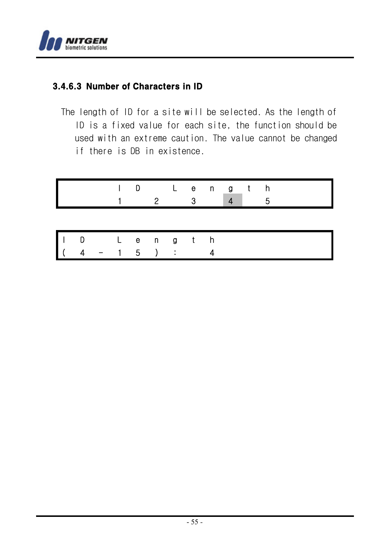

# 3.4.6.3 Number of Characters in ID

The length of ID for a site will be selected. As the length of ID is a fixed value for each site, the function should be used with an extreme caution. The value cannot be changed if there is DB in existence.

|    |          | D   | 2 | ົ | Length |  | д |  |  |
|----|----------|-----|---|---|--------|--|---|--|--|
|    |          |     |   |   |        |  |   |  |  |
| İΙ | D Length |     |   |   |        |  |   |  |  |
|    |          | - 5 |   |   |        |  |   |  |  |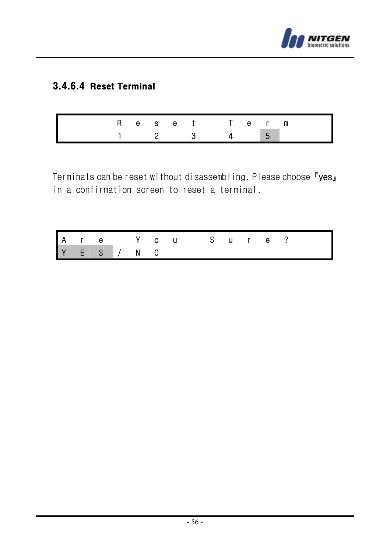

# 3.4.6.4 Reset Terminal

|  |  | Reset Term                    |                |  |  |
|--|--|-------------------------------|----------------|--|--|
|  |  | $\overline{2}$ $\overline{3}$ | $\overline{4}$ |  |  |

Terminals can be reset without disassembling. Please choose 『yes』 in a confirmation screen to reset a terminal.

|  |             |  | Are You Sure? |  |  |  |  |
|--|-------------|--|---------------|--|--|--|--|
|  | Y E S / N O |  |               |  |  |  |  |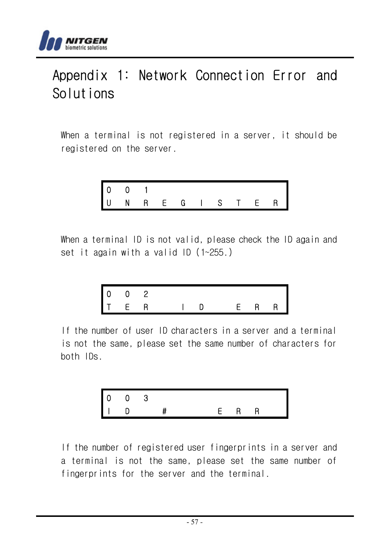

# Appendix 1: Network Connection Error and Solutions

When a terminal is not registered in a server, it should be registered on the server.

$$
\begin{array}{cccccccc}\n0 & 0 & 1 & & & & \\
0 & 0 & 1 & & & & \\
\end{array}
$$

When a terminal ID is not valid, please check the ID again and set it again with a valid ID (1~255.)

$$
\begin{array}{ccccccccc}\n0 & 0 & 2 & & & & \\
\top & \mathsf{E} & \mathsf{R} & & \mathsf{I} & \mathsf{D} & & \mathsf{E} & \mathsf{R} & \mathsf{R}\n\end{array}
$$

If the number of user ID characters in a server and a terminal is not the same, please set the same number of characters for both IDs.



If the number of registered user fingerprints in a server and a terminal is not the same, please set the same number of fingerprints for the server and the terminal.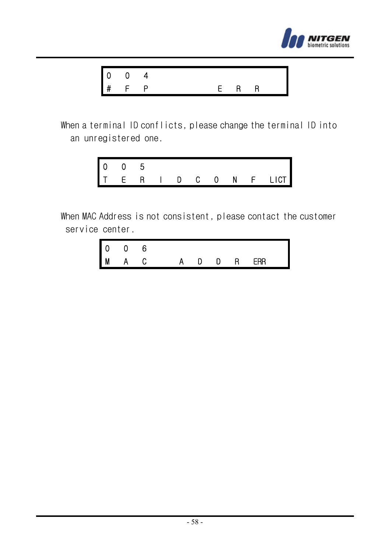



When a terminal ID conflicts, please change the terminal ID into an unregistered one.

| $\begin{array}{ccc} 0 & 0 \\ T & E \end{array}$ |                |                 |        |              |              |   |        |
|-------------------------------------------------|----------------|-----------------|--------|--------------|--------------|---|--------|
|                                                 | $\overline{R}$ | <b>Contract</b> | . D. . | $\mathbf{C}$ | $\mathbf{0}$ | N | F LICT |

When MAC Address is not consistent, please contact the customer service center.

| - 0 |       |         |  |  |  |
|-----|-------|---------|--|--|--|
|     | M A C | ADDREAR |  |  |  |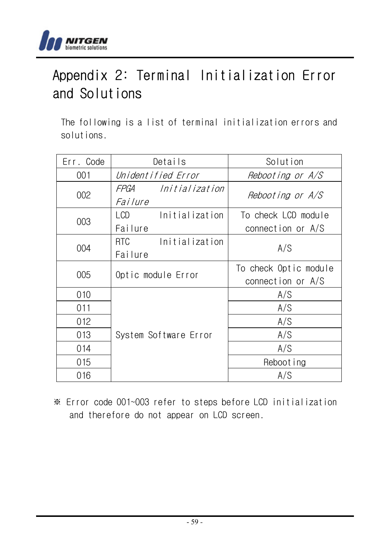

# Appendix 2: Terminal Initialization Error and Solutions

The following is a list of terminal initialization errors and solutions.

| Err. Code | Details                                       | Solution                                   |
|-----------|-----------------------------------------------|--------------------------------------------|
| 001       | Unidentified Error                            | Rebooting or A/S                           |
| 002       | FPGA<br>Initialization<br><i>Failure</i>      | Rebooting or A/S                           |
| 003       | LCD <sub>2</sub><br>Initialization<br>Failure | To check LCD module<br>connection or A/S   |
| 004       | RTC.<br>Initialization<br>Failure             | A/S                                        |
| 005       | Optic module Error                            | To check Optic module<br>connection or A/S |
| 010       |                                               | A/S                                        |
| 011       |                                               | A/S                                        |
| 012       |                                               | A/S                                        |
| 013       | System Software Error                         | A/S                                        |
| 014       |                                               | A/S                                        |
| 015       |                                               | Rebooting                                  |
| 016       |                                               | A/S                                        |

※ Error code 001~003 refer to steps before LCD initialization and therefore do not appear on LCD screen.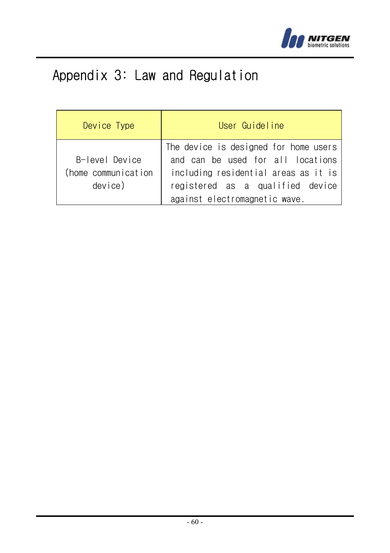

# Appendix 3: Law and Regulation

| Device Type         | User Guideline                        |
|---------------------|---------------------------------------|
|                     | The device is designed for home users |
| B-level Device      | and can be used for all locations     |
| (home communication | including residential areas as it is  |
| device)             | registered as a qualified device      |
|                     | against electromagnetic wave.         |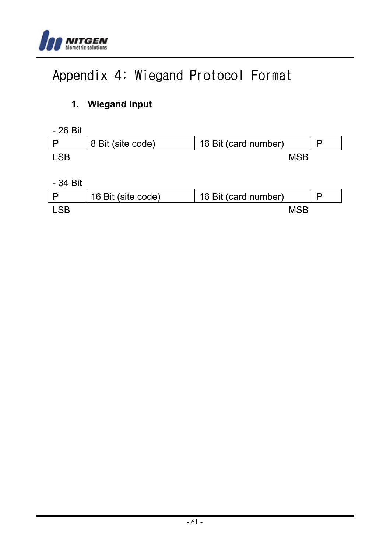

# Appendix 4: Wiegand Protocol Format

# **1. Wiegand Input**

| 8 Bit (site code) | 16 Bit (card number) |  |
|-------------------|----------------------|--|
|                   | MSB                  |  |

#### - 34 Bit

| 16 Bit (site code) | 16 Bit (card number) |  |
|--------------------|----------------------|--|
|                    | MSB                  |  |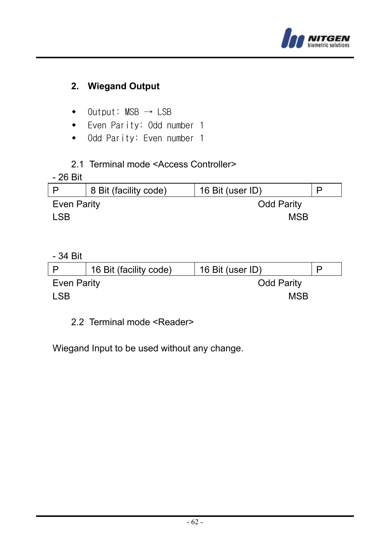

# **2. Wiegand Output**

- $\bullet$  Output: MSB  $\rightarrow$  LSB
- Even Parity: Odd number 1
- Odd Parity: Even number 1

### 2.1 Terminal mode <Access Controller>

#### - 26 Bit

|             | 8 Bit (facility code) | 16 Bit (user ID)  |  |  |  |
|-------------|-----------------------|-------------------|--|--|--|
| Even Parity |                       | <b>Odd Parity</b> |  |  |  |
| LSB         |                       | MSB               |  |  |  |

### - 34 Bit

|             | 16 Bit (facility code) | 16 Bit (user ID)  |  |  |  |
|-------------|------------------------|-------------------|--|--|--|
| Even Parity |                        | <b>Odd Parity</b> |  |  |  |
| LSB.        |                        | MSB               |  |  |  |

### 2.2 Terminal mode <Reader>

Wiegand Input to be used without any change.